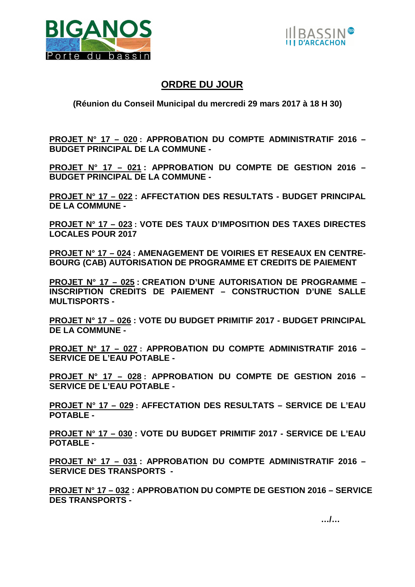



## **ORDRE DU JOUR**

## **(Réunion du Conseil Municipal du mercredi 29 mars 2017 à 18 H 30)**

**PROJET N° 17 – 020 : APPROBATION DU COMPTE ADMINISTRATIF 2016 – BUDGET PRINCIPAL DE LA COMMUNE -**

**PROJET N° 17 – 021 : APPROBATION DU COMPTE DE GESTION 2016 – BUDGET PRINCIPAL DE LA COMMUNE -** 

**PROJET N° 17 – 022 : AFFECTATION DES RESULTATS - BUDGET PRINCIPAL DE LA COMMUNE -** 

**PROJET N° 17 – 023 : VOTE DES TAUX D'IMPOSITION DES TAXES DIRECTES LOCALES POUR 2017** 

**PROJET N° 17 – 024 : AMENAGEMENT DE VOIRIES ET RESEAUX EN CENTRE-BOURG (CAB) AUTORISATION DE PROGRAMME ET CREDITS DE PAIEMENT** 

**PROJET N° 17 – 025 : CREATION D'UNE AUTORISATION DE PROGRAMME – INSCRIPTION CREDITS DE PAIEMENT – CONSTRUCTION D'UNE SALLE MULTISPORTS -** 

**PROJET N° 17 – 026 : VOTE DU BUDGET PRIMITIF 2017 - BUDGET PRINCIPAL DE LA COMMUNE -**

**PROJET N° 17 – 027 : APPROBATION DU COMPTE ADMINISTRATIF 2016 – SERVICE DE L'EAU POTABLE -** 

**PROJET N° 17 – 028 : APPROBATION DU COMPTE DE GESTION 2016 – SERVICE DE L'EAU POTABLE -**

**PROJET N° 17 – 029 : AFFECTATION DES RESULTATS – SERVICE DE L'EAU POTABLE -** 

**PROJET N° 17 – 030 : VOTE DU BUDGET PRIMITIF 2017 - SERVICE DE L'EAU POTABLE -** 

**PROJET N° 17 – 031 : APPROBATION DU COMPTE ADMINISTRATIF 2016 – SERVICE DES TRANSPORTS -** 

**PROJET N° 17 – 032 : APPROBATION DU COMPTE DE GESTION 2016 – SERVICE DES TRANSPORTS -**

 **…/…**